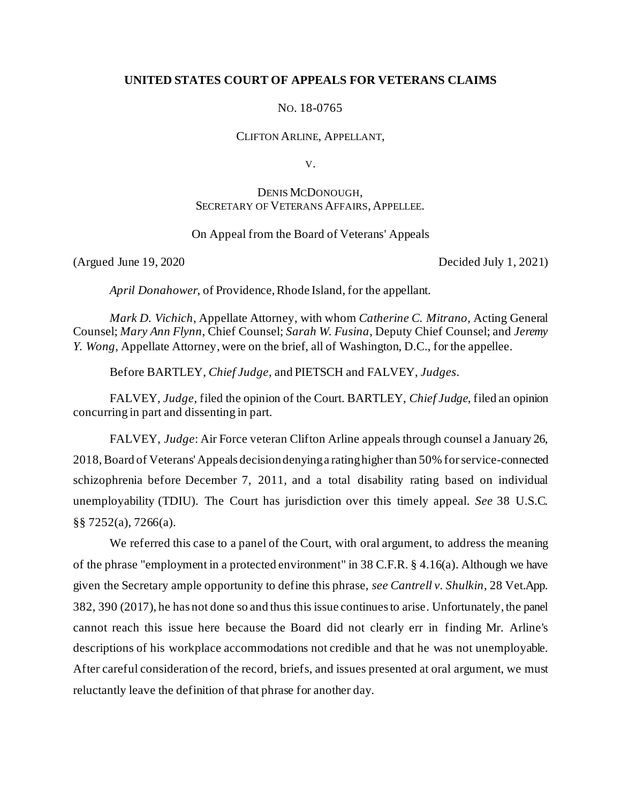# **UNITED STATES COURT OF APPEALS FOR VETERANS CLAIMS**

NO. 18-0765

CLIFTON ARLINE, APPELLANT,

V.

# DENIS MCDONOUGH, SECRETARY OF VETERANS AFFAIRS, APPELLEE.

# On Appeal from the Board of Veterans' Appeals

(Argued June 19, 2020 Decided July 1, 2021)

*April Donahower*, of Providence, Rhode Island, for the appellant.

*Mark D. Vichich*, Appellate Attorney, with whom *Catherine C. Mitrano,* Acting General Counsel; *Mary Ann Flynn*, Chief Counsel; *Sarah W. Fusina*, Deputy Chief Counsel; and *Jeremy Y. Wong*, Appellate Attorney, were on the brief, all of Washington, D.C., for the appellee.

Before BARTLEY, *Chief Judge*, and PIETSCH and FALVEY, *Judges*.

FALVEY, *Judge*, filed the opinion of the Court. BARTLEY, *Chief Judge*, filed an opinion concurring in part and dissenting in part.

FALVEY, *Judge*: Air Force veteran Clifton Arline appeals through counsel a January 26, 2018, Board of Veterans' Appeals decisiondenying a ratinghigher than 50% for service-connected schizophrenia before December 7, 2011, and a total disability rating based on individual unemployability (TDIU). The Court has jurisdiction over this timely appeal. *See* 38 U.S.C. §§ 7252(a), 7266(a).

We referred this case to a panel of the Court, with oral argument, to address the meaning of the phrase "employment in a protected environment" in 38 C.F.R. § 4.16(a). Although we have given the Secretary ample opportunity to define this phrase, *see Cantrell v. Shulkin*, 28 Vet.App. 382, 390 (2017), he has not done so and thus this issue continues to arise. Unfortunately, the panel cannot reach this issue here because the Board did not clearly err in finding Mr. Arline's descriptions of his workplace accommodations not credible and that he was not unemployable. After careful consideration of the record, briefs, and issues presented at oral argument, we must reluctantly leave the definition of that phrase for another day.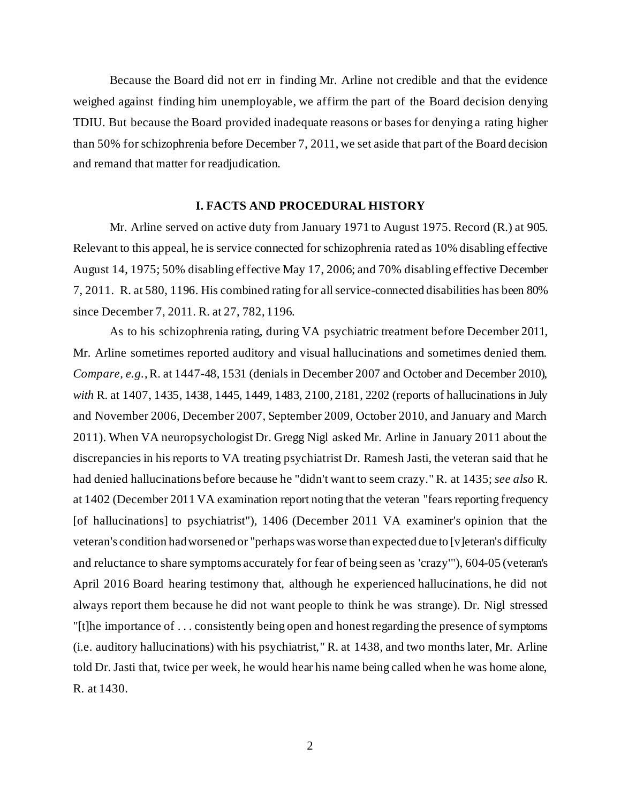Because the Board did not err in finding Mr. Arline not credible and that the evidence weighed against finding him unemployable, we affirm the part of the Board decision denying TDIU. But because the Board provided inadequate reasons or bases for denying a rating higher than 50% for schizophrenia before December 7, 2011, we set aside that part of the Board decision and remand that matter for readjudication.

#### **I. FACTS AND PROCEDURAL HISTORY**

Mr. Arline served on active duty from January 1971 to August 1975. Record (R.) at 905. Relevant to this appeal, he is service connected for schizophrenia rated as 10% disabling effective August 14, 1975; 50% disabling effective May 17, 2006; and 70% disabling effective December 7, 2011. R. at 580, 1196. His combined rating for all service-connected disabilities has been 80% since December 7, 2011. R. at 27, 782, 1196.

As to his schizophrenia rating, during VA psychiatric treatment before December 2011, Mr. Arline sometimes reported auditory and visual hallucinations and sometimes denied them. *Compare, e.g.*, R. at 1447-48, 1531 (denials in December 2007 and October and December 2010), *with* R. at 1407, 1435, 1438, 1445, 1449, 1483, 2100, 2181, 2202 (reports of hallucinations in July and November 2006, December 2007, September 2009, October 2010, and January and March 2011). When VA neuropsychologist Dr. Gregg Nigl asked Mr. Arline in January 2011 about the discrepancies in his reports to VA treating psychiatrist Dr. Ramesh Jasti, the veteran said that he had denied hallucinations before because he "didn't want to seem crazy." R. at 1435; *see also* R. at 1402 (December 2011 VA examination report noting that the veteran "fears reporting frequency [of hallucinations] to psychiatrist"), 1406 (December 2011 VA examiner's opinion that the veteran's condition had worsened or "perhaps was worse than expected due to [v]eteran's difficulty and reluctance to share symptoms accurately for fear of being seen as 'crazy'"), 604-05 (veteran's April 2016 Board hearing testimony that, although he experienced hallucinations, he did not always report them because he did not want people to think he was strange). Dr. Nigl stressed "[t]he importance of . . . consistently being open and honest regarding the presence of symptoms (i.e. auditory hallucinations) with his psychiatrist," R. at 1438, and two months later, Mr. Arline told Dr. Jasti that, twice per week, he would hear his name being called when he was home alone, R. at 1430.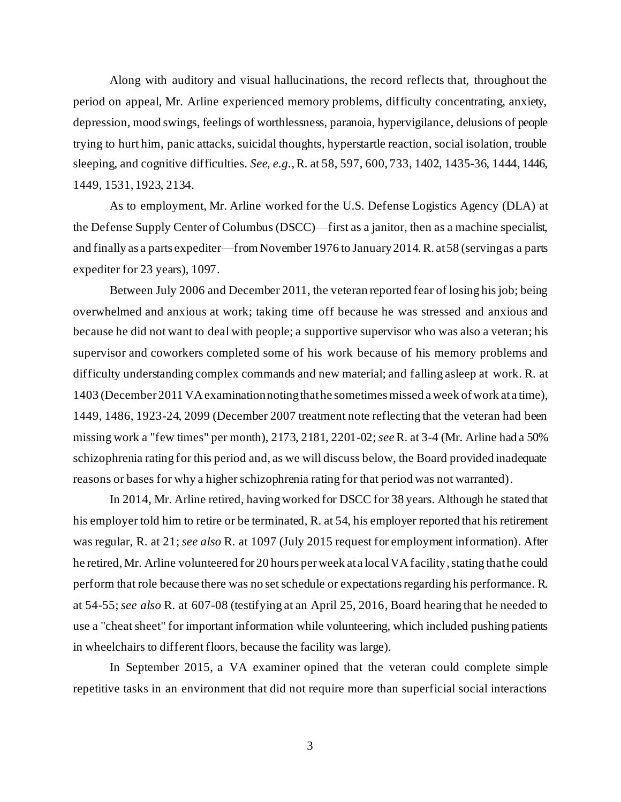Along with auditory and visual hallucinations, the record reflects that, throughout the period on appeal, Mr. Arline experienced memory problems, difficulty concentrating, anxiety, depression, mood swings, feelings of worthlessness, paranoia, hypervigilance, delusions of people trying to hurt him, panic attacks, suicidal thoughts, hyperstartle reaction, social isolation, trouble sleeping, and cognitive difficulties. *See, e.g.*, R. at 58, 597, 600, 733, 1402, 1435-36, 1444, 1446, 1449, 1531, 1923, 2134.

As to employment, Mr. Arline worked for the U.S. Defense Logistics Agency (DLA) at the Defense Supply Center of Columbus (DSCC)—first as a janitor, then as a machine specialist, and finally as a parts expediter—from November 1976 to January 2014. R. at 58 (serving as a parts expediter for 23 years), 1097.

Between July 2006 and December 2011, the veteran reported fear of losing his job; being overwhelmed and anxious at work; taking time off because he was stressed and anxious and because he did not want to deal with people; a supportive supervisor who was also a veteran; his supervisor and coworkers completed some of his work because of his memory problems and difficulty understanding complex commands and new material; and falling asleep at work. R. at 1403 (December 2011 VA examination noting that he sometimes missed a week of work at a time), 1449, 1486, 1923-24, 2099 (December 2007 treatment note reflecting that the veteran had been missing work a "few times" per month), 2173, 2181, 2201-02; *see*R. at 3-4 (Mr. Arline had a 50% schizophrenia rating for this period and, as we will discuss below, the Board provided inadequate reasons or bases for why a higher schizophrenia rating for that period was not warranted).

In 2014, Mr. Arline retired, having worked for DSCC for 38 years. Although he stated that his employer told him to retire or be terminated, R. at 54, his employer reported that his retirement was regular, R. at 21; *see also* R. at 1097 (July 2015 request for employment information). After he retired, Mr. Arline volunteered for 20 hours per week at a local VA facility, stating that he could perform that role because there was no set schedule or expectations regarding his performance. R. at 54-55; *see also* R. at 607-08 (testifying at an April 25, 2016, Board hearing that he needed to use a "cheat sheet" for important information while volunteering, which included pushing patients in wheelchairs to different floors, because the facility was large).

In September 2015, a VA examiner opined that the veteran could complete simple repetitive tasks in an environment that did not require more than superficial social interactions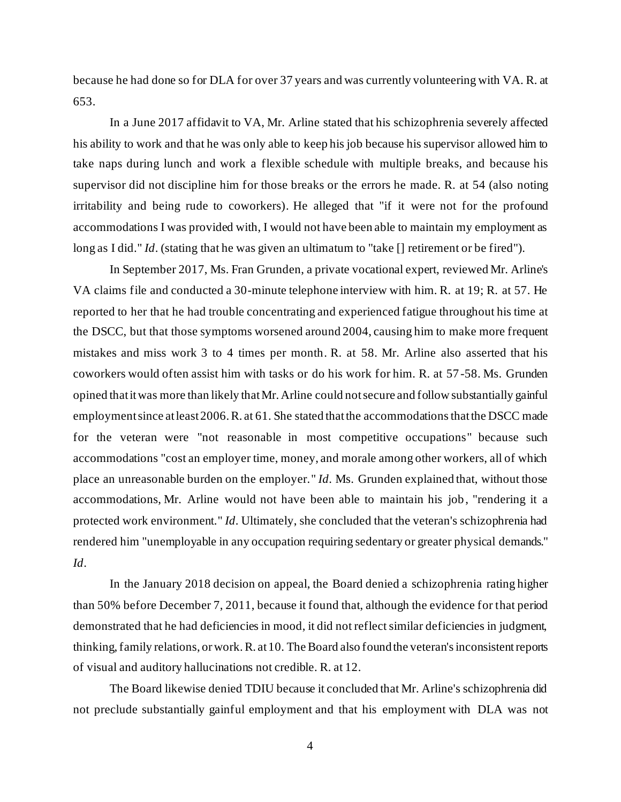because he had done so for DLA for over 37 years and was currently volunteering with VA. R. at 653.

In a June 2017 affidavit to VA, Mr. Arline stated that his schizophrenia severely affected his ability to work and that he was only able to keep his job because his supervisor allowed him to take naps during lunch and work a flexible schedule with multiple breaks, and because his supervisor did not discipline him for those breaks or the errors he made. R. at 54 (also noting irritability and being rude to coworkers). He alleged that "if it were not for the profound accommodations I was provided with, I would not have been able to maintain my employment as long as I did." *Id*. (stating that he was given an ultimatum to "take [] retirement or be fired").

In September 2017, Ms. Fran Grunden, a private vocational expert, reviewed Mr. Arline's VA claims file and conducted a 30-minute telephone interview with him. R. at 19; R. at 57. He reported to her that he had trouble concentrating and experienced fatigue throughout his time at the DSCC, but that those symptoms worsened around 2004, causing him to make more frequent mistakes and miss work 3 to 4 times per month. R. at 58. Mr. Arline also asserted that his coworkers would often assist him with tasks or do his work for him. R. at 57 -58. Ms. Grunden opined that it was more than likely that Mr. Arline could notsecure and follow substantially gainful employment since at least 2006. R. at 61. She stated that the accommodations that the DSCC made for the veteran were "not reasonable in most competitive occupations" because such accommodations "cost an employer time, money, and morale among other workers, all of which place an unreasonable burden on the employer." *Id*. Ms. Grunden explained that, without those accommodations, Mr. Arline would not have been able to maintain his job, "rendering it a protected work environment." *Id*. Ultimately, she concluded that the veteran's schizophrenia had rendered him "unemployable in any occupation requiring sedentary or greater physical demands." *Id*.

In the January 2018 decision on appeal, the Board denied a schizophrenia rating higher than 50% before December 7, 2011, because it found that, although the evidence for that period demonstrated that he had deficiencies in mood, it did not reflect similar deficiencies in judgment, thinking, family relations, or work. R. at 10. The Board also found the veteran's inconsistent reports of visual and auditory hallucinations not credible. R. at 12.

The Board likewise denied TDIU because it concluded that Mr. Arline's schizophrenia did not preclude substantially gainful employment and that his employment with DLA was not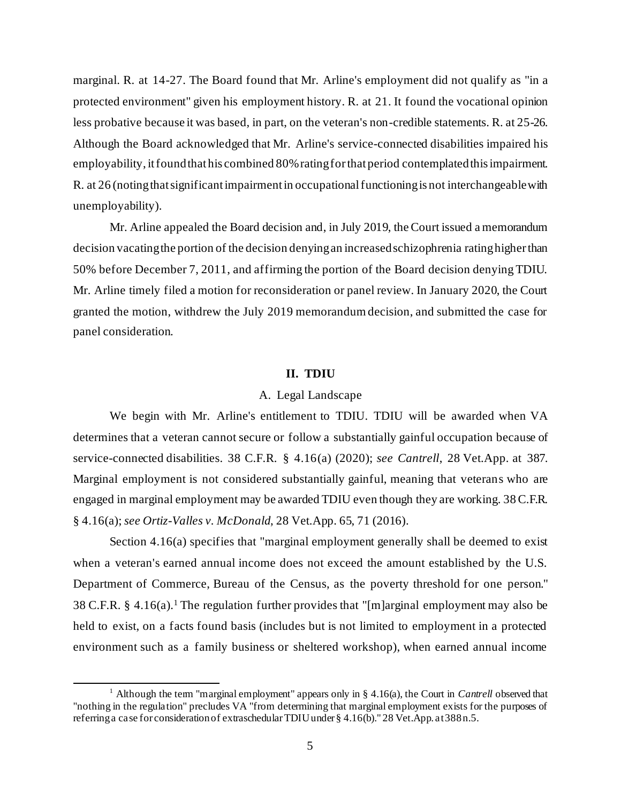marginal. R. at 14-27. The Board found that Mr. Arline's employment did not qualify as "in a protected environment" given his employment history. R. at 21. It found the vocational opinion less probative because it was based, in part, on the veteran's non-credible statements. R. at 25-26. Although the Board acknowledged that Mr. Arline's service-connected disabilities impaired his employability, it found that his combined 80% rating for that period contemplated this impairment. R. at 26 (noting that significant impairment in occupational functioning is not interchangeable with unemployability).

Mr. Arline appealed the Board decision and, in July 2019, the Court issued a memorandum decision vacating the portion of the decision denying an increased schizophrenia ratinghigher than 50% before December 7, 2011, and affirming the portion of the Board decision denying TDIU. Mr. Arline timely filed a motion for reconsideration or panel review. In January 2020, the Court granted the motion, withdrew the July 2019 memorandum decision, and submitted the case for panel consideration.

# **II. TDIU**

# A. Legal Landscape

We begin with Mr. Arline's entitlement to TDIU. TDIU will be awarded when VA determines that a veteran cannot secure or follow a substantially gainful occupation because of service-connected disabilities. 38 C.F.R. § 4.16(a) (2020); *see Cantrell*, 28 Vet.App. at 387. Marginal employment is not considered substantially gainful, meaning that veterans who are engaged in marginal employment may be awarded TDIU even though they are working. 38 C.F.R. § 4.16(a); *see Ortiz-Valles v. McDonald*, 28 Vet.App. 65, 71 (2016).

Section 4.16(a) specifies that "marginal employment generally shall be deemed to exist when a veteran's earned annual income does not exceed the amount established by the U.S. Department of Commerce, Bureau of the Census, as the poverty threshold for one person." 38 C.F.R. § 4.16(a).<sup>1</sup> The regulation further provides that "[m]arginal employment may also be held to exist, on a facts found basis (includes but is not limited to employment in a protected environment such as a family business or sheltered workshop), when earned annual income

<sup>&</sup>lt;sup>1</sup> Although the term "marginal employment" appears only in  $\S 4.16(a)$ , the Court in *Cantrell* observed that "nothing in the regulation" precludes VA "from determining that marginal employment exists for the purposes of referring a case for consideration of extraschedular TDIU under § 4.16(b)." 28 Vet.App. at 388 n.5.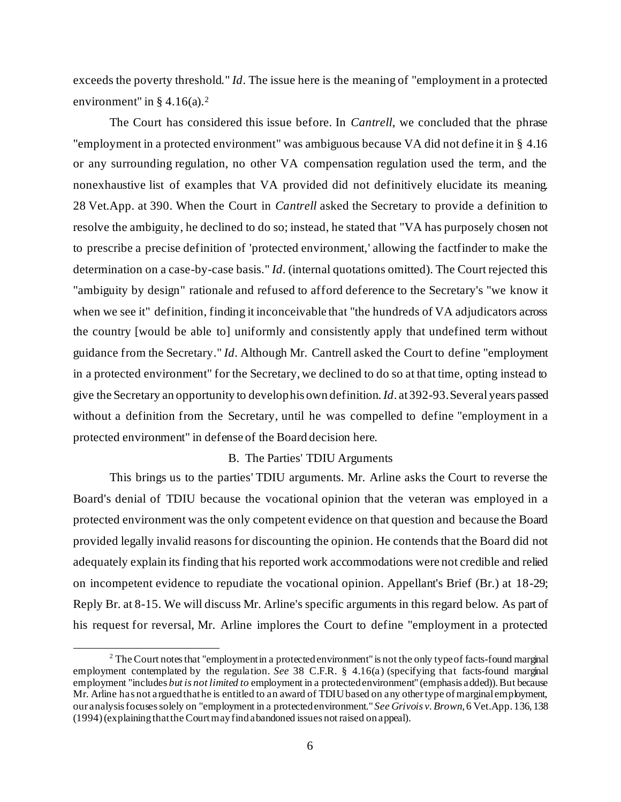exceeds the poverty threshold." *Id*. The issue here is the meaning of "employment in a protected environment" in  $\S 4.16(a).^2$ 

The Court has considered this issue before. In *Cantrell*, we concluded that the phrase "employment in a protected environment" was ambiguous because VA did not define it in § 4.16 or any surrounding regulation, no other VA compensation regulation used the term, and the nonexhaustive list of examples that VA provided did not definitively elucidate its meaning. 28 Vet.App. at 390. When the Court in *Cantrell* asked the Secretary to provide a definition to resolve the ambiguity, he declined to do so; instead, he stated that "VA has purposely chosen not to prescribe a precise definition of 'protected environment,' allowing the factfinder to make the determination on a case-by-case basis." *Id*. (internal quotations omitted). The Court rejected this "ambiguity by design" rationale and refused to afford deference to the Secretary's "we know it when we see it" definition, finding it inconceivable that "the hundreds of VA adjudicators across the country [would be able to] uniformly and consistently apply that undefined term without guidance from the Secretary." *Id*. Although Mr. Cantrell asked the Court to define "employment in a protected environment" for the Secretary, we declined to do so at that time, opting instead to give the Secretary an opportunity to develophis own definition. *Id*. at 392-93. Several years passed without a definition from the Secretary, until he was compelled to define "employment in a protected environment" in defense of the Board decision here.

### B. The Parties' TDIU Arguments

This brings us to the parties' TDIU arguments. Mr. Arline asks the Court to reverse the Board's denial of TDIU because the vocational opinion that the veteran was employed in a protected environment was the only competent evidence on that question and because the Board provided legally invalid reasons for discounting the opinion. He contends that the Board did not adequately explain its finding that his reported work accommodations were not credible and relied on incompetent evidence to repudiate the vocational opinion. Appellant's Brief (Br.) at 18-29; Reply Br. at 8-15. We will discuss Mr. Arline's specific arguments in this regard below. As part of his request for reversal, Mr. Arline implores the Court to define "employment in a protected

<sup>&</sup>lt;sup>2</sup> The Court notes that "employment in a protected environment" is not the only type of facts-found marginal employment contemplated by the regulation. *See* 38 C.F.R. § 4.16(a) (specifying that facts-found marginal employment "includes *but is not limited to* employment in a protected environment" (emphasis added)). But because Mr. Arline has not argued that he is entitled to an award of TDIU based on any other type of marginal employment, our analysis focuses solely on "employment in a protected environment." *See Grivois v. Brown*, 6 Vet.App. 136, 138 (1994) (explaining that the Court mayfindabandoned issues not raised on appeal).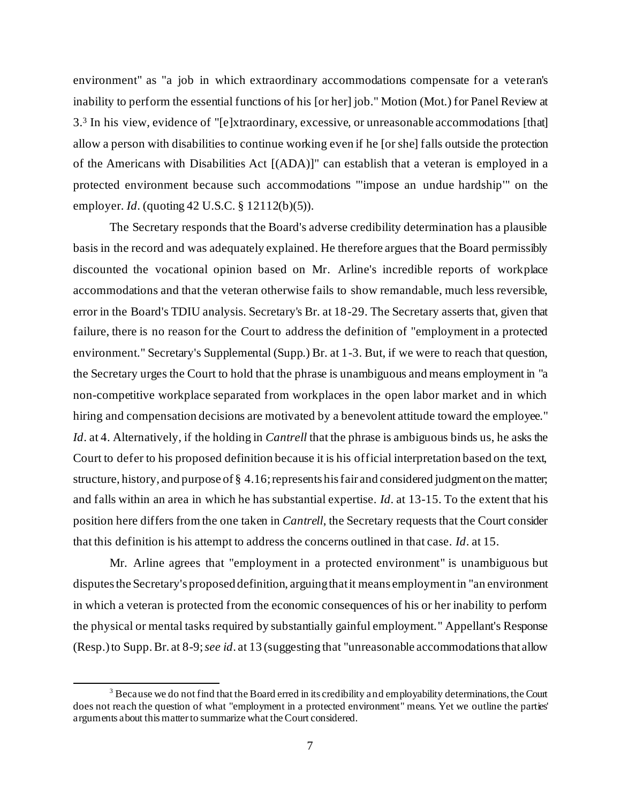environment" as "a job in which extraordinary accommodations compensate for a veteran's inability to perform the essential functions of his [or her] job." Motion (Mot.) for Panel Review at 3.<sup>3</sup> In his view, evidence of "[e]xtraordinary, excessive, or unreasonable accommodations [that] allow a person with disabilities to continue working even if he [or she] falls outside the protection of the Americans with Disabilities Act [(ADA)]" can establish that a veteran is employed in a protected environment because such accommodations "'impose an undue hardship'" on the employer. *Id*. (quoting 42 U.S.C. § 12112(b)(5)).

The Secretary responds that the Board's adverse credibility determination has a plausible basis in the record and was adequately explained. He therefore argues that the Board permissibly discounted the vocational opinion based on Mr. Arline's incredible reports of workplace accommodations and that the veteran otherwise fails to show remandable, much less reversible, error in the Board's TDIU analysis. Secretary's Br. at 18-29. The Secretary asserts that, given that failure, there is no reason for the Court to address the definition of "employment in a protected environment." Secretary's Supplemental (Supp.) Br. at 1-3. But, if we were to reach that question, the Secretary urges the Court to hold that the phrase is unambiguous and means employment in "a non-competitive workplace separated from workplaces in the open labor market and in which hiring and compensation decisions are motivated by a benevolent attitude toward the employee." *Id*. at 4. Alternatively, if the holding in *Cantrell* that the phrase is ambiguous binds us, he asks the Court to defer to his proposed definition because it is his official interpretation based on the text, structure, history, and purpose of § 4.16; represents his fair and considered judgment on the matter; and falls within an area in which he has substantial expertise. *Id*. at 13-15. To the extent that his position here differs from the one taken in *Cantrell*, the Secretary requests that the Court consider that this definition is his attempt to address the concerns outlined in that case. *Id*. at 15.

Mr. Arline agrees that "employment in a protected environment" is unambiguous but disputes the Secretary's proposed definition, arguing that it means employment in "an environment in which a veteran is protected from the economic consequences of his or her inability to perform the physical or mental tasks required by substantially gainful employment." Appellant's Response (Resp.) to Supp. Br. at 8-9; *see id*. at 13 (suggesting that "unreasonable accommodations that allow

 $3$  Because we do not find that the Board erred in its credibility and employability determinations, the Court does not reach the question of what "employment in a protected environment" means. Yet we outline the parties' arguments about this matter to summarize what the Court considered.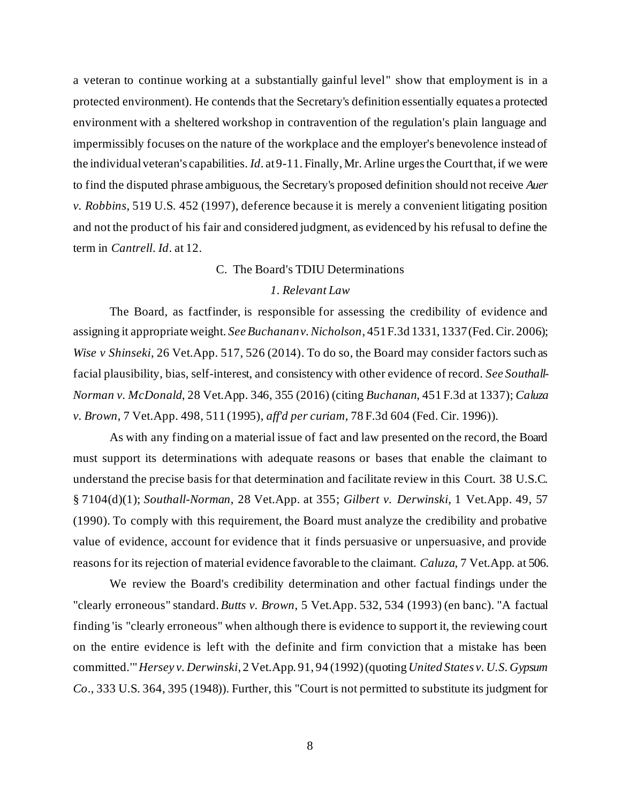a veteran to continue working at a substantially gainful level" show that employment is in a protected environment). He contends that the Secretary's definition essentially equates a protected environment with a sheltered workshop in contravention of the regulation's plain language and impermissibly focuses on the nature of the workplace and the employer's benevolence instead of the individual veteran's capabilities. *Id*. at 9-11. Finally, Mr. Arline urges the Court that, if we were to find the disputed phrase ambiguous, the Secretary's proposed definition should not receive *Auer v. Robbins*, 519 U.S. 452 (1997), deference because it is merely a convenient litigating position and not the product of his fair and considered judgment, as evidenced by his refusal to define the term in *Cantrell*. *Id*. at 12.

## C. The Board's TDIU Determinations

# *1. Relevant Law*

The Board, as factfinder, is responsible for assessing the credibility of evidence and assigning it appropriate weight. *See Buchanan v. Nicholson*, 451 F.3d 1331, 1337 (Fed. Cir. 2006); *Wise v Shinseki*, 26 Vet.App. 517, 526 (2014). To do so, the Board may consider factors such as facial plausibility, bias, self-interest, and consistency with other evidence of record. *See Southall-Norman v. McDonald*, 28 Vet.App. 346, 355 (2016) (citing *Buchanan*, 451 F.3d at 1337); *Caluza v. Brown*, 7 Vet.App. 498, 511 (1995), *aff'd per curiam*, 78 F.3d 604 (Fed. Cir. 1996)).

As with any finding on a material issue of fact and law presented on the record, the Board must support its determinations with adequate reasons or bases that enable the claimant to understand the precise basis for that determination and facilitate review in this Court. 38 U.S.C. § 7104(d)(1); *Southall-Norman*, 28 Vet.App. at 355; *Gilbert v. Derwinski*, 1 Vet.App. 49, 57 (1990). To comply with this requirement, the Board must analyze the credibility and probative value of evidence, account for evidence that it finds persuasive or unpersuasive, and provide reasons for its rejection of material evidence favorable to the claimant. *Caluza*, 7 Vet.App. at 506.

We review the Board's credibility determination and other factual findings under the "clearly erroneous" standard. *Butts v. Brown*, 5 Vet.App. 532, 534 (1993) (en banc). "A factual finding 'is "clearly erroneous" when although there is evidence to support it, the reviewing court on the entire evidence is left with the definite and firm conviction that a mistake has been committed.'"*Hersey v. Derwinski*, 2 Vet.App. 91, 94 (1992) (quoting *United States v. U.S. Gypsum Co*., 333 U.S. 364, 395 (1948)). Further, this "Court is not permitted to substitute its judgment for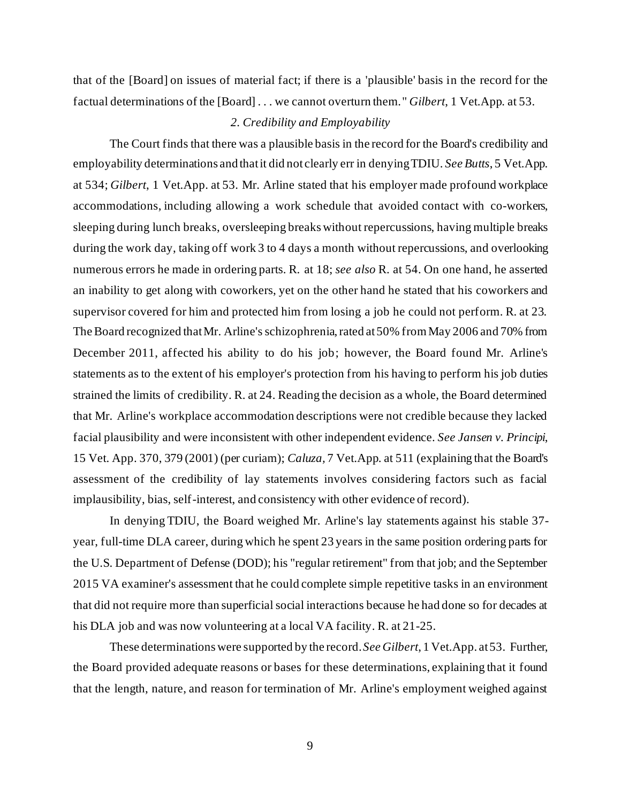that of the [Board] on issues of material fact; if there is a 'plausible' basis in the record for the factual determinations of the [Board] . . . we cannot overturn them." *Gilbert*, 1 Vet.App. at 53.

# *2. Credibility and Employability*

The Court finds that there was a plausible basis in the record for the Board's credibility and employability determinations and thatit did not clearly err in denying TDIU. *See Butts*, 5 Vet.App. at 534; *Gilbert*, 1 Vet.App. at 53. Mr. Arline stated that his employer made profound workplace accommodations, including allowing a work schedule that avoided contact with co-workers, sleeping during lunch breaks, oversleeping breaks without repercussions, having multiple breaks during the work day, taking off work 3 to 4 days a month without repercussions, and overlooking numerous errors he made in ordering parts. R. at 18; *see also* R. at 54. On one hand, he asserted an inability to get along with coworkers, yet on the other hand he stated that his coworkers and supervisor covered for him and protected him from losing a job he could not perform. R. at 23. The Board recognized that Mr. Arline's schizophrenia, rated at 50% from May 2006 and 70% from December 2011, affected his ability to do his job; however, the Board found Mr. Arline's statements as to the extent of his employer's protection from his having to perform his job duties strained the limits of credibility. R. at 24. Reading the decision as a whole, the Board determined that Mr. Arline's workplace accommodation descriptions were not credible because they lacked facial plausibility and were inconsistent with other independent evidence. *See Jansen v. Principi*, 15 Vet. App. 370, 379 (2001) (per curiam); *Caluza,* 7 Vet.App. at 511 (explaining that the Board's assessment of the credibility of lay statements involves considering factors such as facial implausibility, bias, self-interest, and consistency with other evidence of record).

In denying TDIU, the Board weighed Mr. Arline's lay statements against his stable 37 year, full-time DLA career, during which he spent 23 years in the same position ordering parts for the U.S. Department of Defense (DOD); his "regular retirement" from that job; and the September 2015 VA examiner's assessment that he could complete simple repetitive tasks in an environment that did not require more than superficial social interactions because he had done so for decades at his DLA job and was now volunteering at a local VA facility. R. at 21-25.

These determinations were supported by the record. *See Gilbert*, 1 Vet.App. at 53. Further, the Board provided adequate reasons or bases for these determinations, explaining that it found that the length, nature, and reason for termination of Mr. Arline's employment weighed against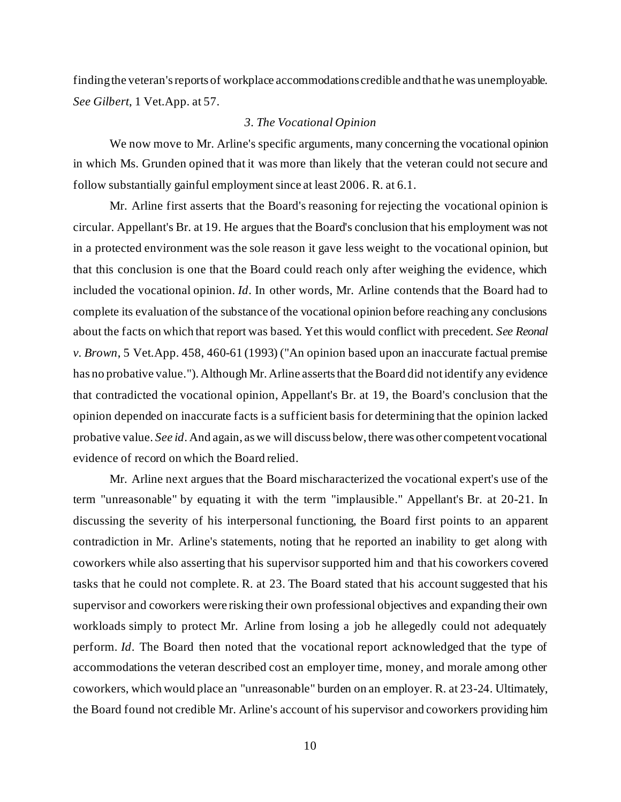finding the veteran's reports of workplace accommodations credible and that he was unemployable. *See Gilbert*, 1 Vet.App. at 57.

### *3. The Vocational Opinion*

We now move to Mr. Arline's specific arguments, many concerning the vocational opinion in which Ms. Grunden opined that it was more than likely that the veteran could not secure and follow substantially gainful employment since at least 2006. R. at 6.1.

Mr. Arline first asserts that the Board's reasoning for rejecting the vocational opinion is circular. Appellant's Br. at 19. He argues that the Board's conclusion that his employment was not in a protected environment was the sole reason it gave less weight to the vocational opinion, but that this conclusion is one that the Board could reach only after weighing the evidence, which included the vocational opinion. *Id*. In other words, Mr. Arline contends that the Board had to complete its evaluation of the substance of the vocational opinion before reaching any conclusions about the facts on which that report was based. Yet this would conflict with precedent. *See Reonal v. Brown*, 5 Vet.App. 458, 460-61 (1993) ("An opinion based upon an inaccurate factual premise has no probative value."). Although Mr. Arline asserts that the Board did not identify any evidence that contradicted the vocational opinion, Appellant's Br. at 19, the Board's conclusion that the opinion depended on inaccurate facts is a sufficient basis for determining that the opinion lacked probative value. *See id*. And again, as we will discuss below, there was other competent vocational evidence of record on which the Board relied.

Mr. Arline next argues that the Board mischaracterized the vocational expert's use of the term "unreasonable" by equating it with the term "implausible." Appellant's Br. at 20-21. In discussing the severity of his interpersonal functioning, the Board first points to an apparent contradiction in Mr. Arline's statements, noting that he reported an inability to get along with coworkers while also asserting that his supervisor supported him and that his coworkers covered tasks that he could not complete. R. at 23. The Board stated that his account suggested that his supervisor and coworkers were risking their own professional objectives and expanding their own workloads simply to protect Mr. Arline from losing a job he allegedly could not adequately perform. *Id*. The Board then noted that the vocational report acknowledged that the type of accommodations the veteran described cost an employer time, money, and morale among other coworkers, which would place an "unreasonable" burden on an employer. R. at 23-24. Ultimately, the Board found not credible Mr. Arline's account of his supervisor and coworkers providing him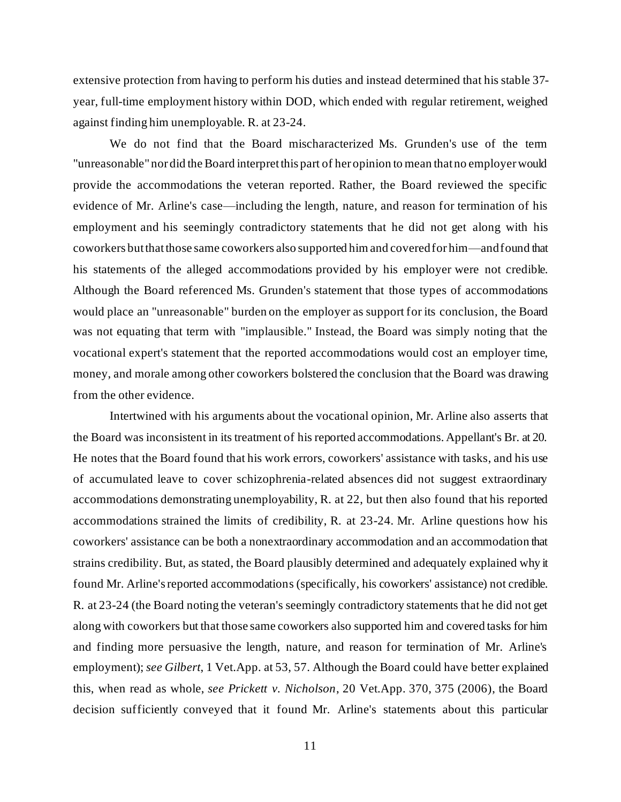extensive protection from having to perform his duties and instead determined that his stable 37 year, full-time employment history within DOD, which ended with regular retirement, weighed against finding him unemployable. R. at 23-24.

We do not find that the Board mischaracterized Ms. Grunden's use of the term "unreasonable" nor did the Board interpret this part of her opinion to mean that no employer would provide the accommodations the veteran reported. Rather, the Board reviewed the specific evidence of Mr. Arline's case—including the length, nature, and reason for termination of his employment and his seemingly contradictory statements that he did not get along with his coworkers but that those same coworkers also supported him and covered for him—and found that his statements of the alleged accommodations provided by his employer were not credible. Although the Board referenced Ms. Grunden's statement that those types of accommodations would place an "unreasonable" burden on the employer as support for its conclusion, the Board was not equating that term with "implausible." Instead, the Board was simply noting that the vocational expert's statement that the reported accommodations would cost an employer time, money, and morale among other coworkers bolstered the conclusion that the Board was drawing from the other evidence.

Intertwined with his arguments about the vocational opinion, Mr. Arline also asserts that the Board was inconsistent in its treatment of his reported accommodations. Appellant's Br. at 20. He notes that the Board found that his work errors, coworkers' assistance with tasks, and his use of accumulated leave to cover schizophrenia-related absences did not suggest extraordinary accommodations demonstrating unemployability, R. at 22, but then also found that his reported accommodations strained the limits of credibility, R. at 23-24. Mr. Arline questions how his coworkers' assistance can be both a nonextraordinary accommodation and an accommodation that strains credibility. But, as stated, the Board plausibly determined and adequately explained why it found Mr. Arline's reported accommodations (specifically, his coworkers' assistance) not credible. R. at 23-24 (the Board noting the veteran's seemingly contradictory statements that he did not get along with coworkers but that those same coworkers also supported him and covered tasks for him and finding more persuasive the length, nature, and reason for termination of Mr. Arline's employment); *see Gilbert*, 1 Vet.App. at 53, 57. Although the Board could have better explained this, when read as whole, *see Prickett v. Nicholson*, 20 Vet.App. 370, 375 (2006), the Board decision sufficiently conveyed that it found Mr. Arline's statements about this particular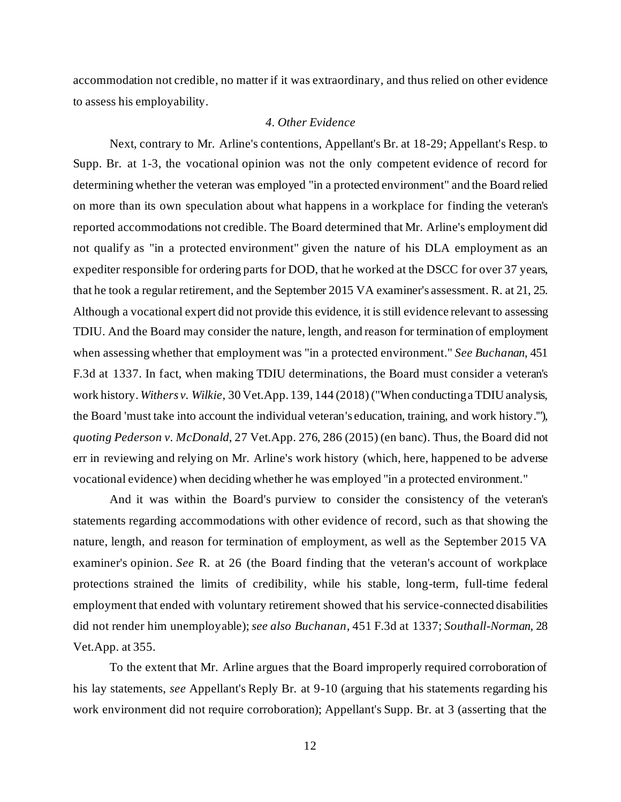accommodation not credible, no matter if it was extraordinary, and thus relied on other evidence to assess his employability.

# *4. Other Evidence*

Next, contrary to Mr. Arline's contentions, Appellant's Br. at 18-29; Appellant's Resp. to Supp. Br. at 1-3, the vocational opinion was not the only competent evidence of record for determining whether the veteran was employed "in a protected environment" and the Board relied on more than its own speculation about what happens in a workplace for finding the veteran's reported accommodations not credible. The Board determined that Mr. Arline's employment did not qualify as "in a protected environment" given the nature of his DLA employment as an expediter responsible for ordering parts for DOD, that he worked at the DSCC for over 37 years, that he took a regular retirement, and the September 2015 VA examiner's assessment. R. at 21, 25. Although a vocational expert did not provide this evidence, it is still evidence relevant to assessing TDIU. And the Board may consider the nature, length, and reason for termination of employment when assessing whether that employment was "in a protected environment." *See Buchanan*, 451 F.3d at 1337. In fact, when making TDIU determinations, the Board must consider a veteran's work history. *Withers v. Wilkie*, 30 Vet.App. 139, 144 (2018) ("When conducting a TDIU analysis, the Board 'must take into account the individual veteran's education, training, and work history.'"), *quoting Pederson v. McDonald*, 27 Vet.App. 276, 286 (2015) (en banc). Thus, the Board did not err in reviewing and relying on Mr. Arline's work history (which, here, happened to be adverse vocational evidence) when deciding whether he was employed "in a protected environment."

And it was within the Board's purview to consider the consistency of the veteran's statements regarding accommodations with other evidence of record, such as that showing the nature, length, and reason for termination of employment, as well as the September 2015 VA examiner's opinion. *See* R. at 26 (the Board finding that the veteran's account of workplace protections strained the limits of credibility, while his stable, long-term, full-time federal employment that ended with voluntary retirement showed that his service-connected disabilities did not render him unemployable);*see also Buchanan*, 451 F.3d at 1337; *Southall-Norman*, 28 Vet.App. at 355.

To the extent that Mr. Arline argues that the Board improperly required corroboration of his lay statements, *see* Appellant's Reply Br. at 9-10 (arguing that his statements regarding his work environment did not require corroboration); Appellant's Supp. Br. at 3 (asserting that the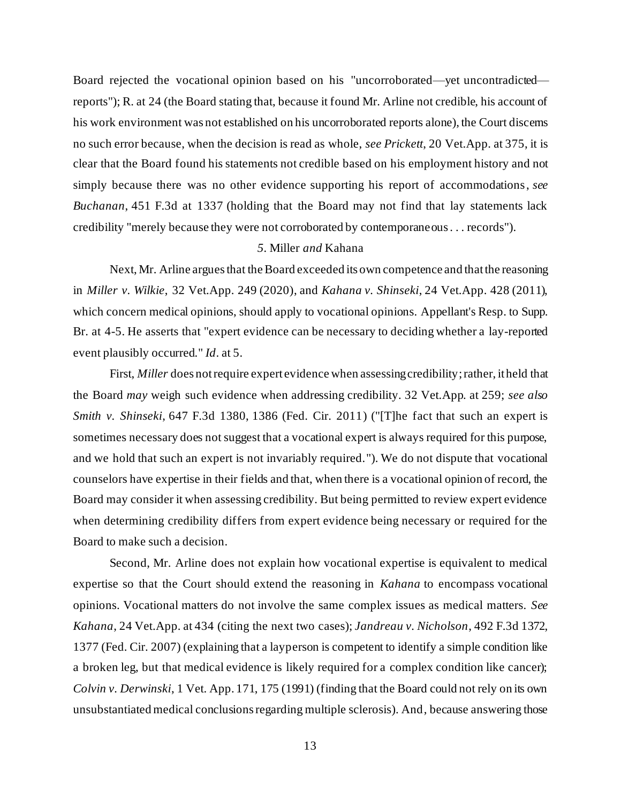Board rejected the vocational opinion based on his "uncorroborated—yet uncontradicted reports"); R. at 24 (the Board stating that, because it found Mr. Arline not credible, his account of his work environment was not established on his uncorroborated reports alone), the Court discerns no such error because, when the decision is read as whole, *see Prickett*, 20 Vet.App. at 375, it is clear that the Board found his statements not credible based on his employment history and not simply because there was no other evidence supporting his report of accommodations, *see Buchanan*, 451 F.3d at 1337 (holding that the Board may not find that lay statements lack credibility "merely because they were not corroborated by contemporaneous . . . records").

# *5.* Miller *and* Kahana

Next, Mr. Arline argues that the Board exceeded its own competence and that the reasoning in *Miller v. Wilkie*, 32 Vet.App. 249 (2020), and *Kahana v. Shinseki*, 24 Vet.App. 428 (2011), which concern medical opinions, should apply to vocational opinions. Appellant's Resp. to Supp. Br. at 4-5. He asserts that "expert evidence can be necessary to deciding whether a lay-reported event plausibly occurred." *Id*. at 5.

First, *Miller* does not require expert evidence when assessing credibility; rather, it held that the Board *may* weigh such evidence when addressing credibility. 32 Vet.App. at 259; *see also Smith v. Shinseki*, 647 F.3d 1380, 1386 (Fed. Cir. 2011) ("[T]he fact that such an expert is sometimes necessary does not suggest that a vocational expert is always required for this purpose, and we hold that such an expert is not invariably required."). We do not dispute that vocational counselors have expertise in their fields and that, when there is a vocational opinion of record, the Board may consider it when assessing credibility. But being permitted to review expert evidence when determining credibility differs from expert evidence being necessary or required for the Board to make such a decision.

Second, Mr. Arline does not explain how vocational expertise is equivalent to medical expertise so that the Court should extend the reasoning in *Kahana* to encompass vocational opinions. Vocational matters do not involve the same complex issues as medical matters. *See Kahana*, 24 Vet.App. at 434 (citing the next two cases); *Jandreau v. Nicholson*, 492 F.3d 1372, 1377 (Fed. Cir. 2007) (explaining that a layperson is competent to identify a simple condition like a broken leg, but that medical evidence is likely required for a complex condition like cancer); *Colvin v. Derwinski*, 1 Vet. App. 171, 175 (1991) (finding that the Board could not rely on its own unsubstantiated medical conclusions regarding multiple sclerosis). And, because answering those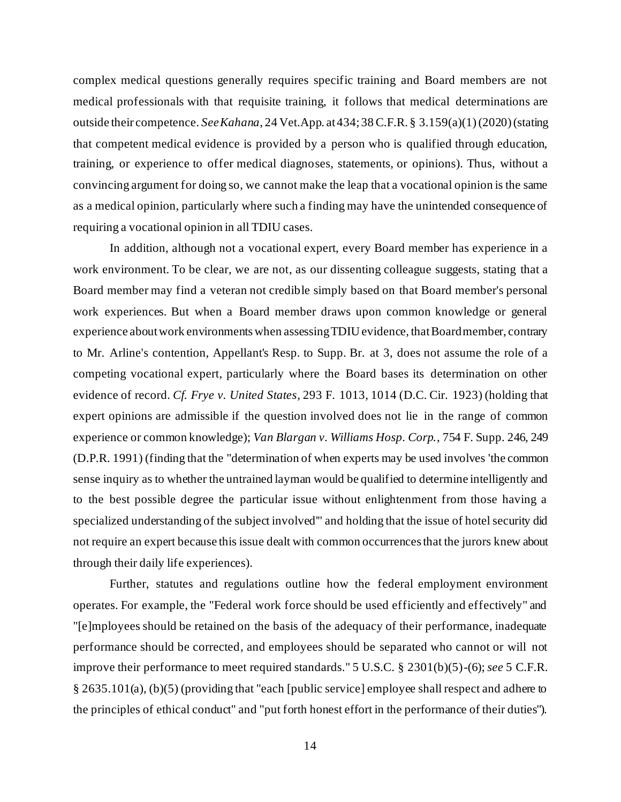complex medical questions generally requires specific training and Board members are not medical professionals with that requisite training, it follows that medical determinations are outside their competence. *SeeKahana*, 24 Vet.App. at 434; 38 C.F.R. § 3.159(a)(1) (2020) (stating that competent medical evidence is provided by a person who is qualified through education, training, or experience to offer medical diagnoses, statements, or opinions). Thus, without a convincing argument for doing so, we cannot make the leap that a vocational opinion is the same as a medical opinion, particularly where such a finding may have the unintended consequence of requiring a vocational opinion in all TDIU cases.

In addition, although not a vocational expert, every Board member has experience in a work environment. To be clear, we are not, as our dissenting colleague suggests, stating that a Board member may find a veteran not credible simply based on that Board member's personal work experiences. But when a Board member draws upon common knowledge or general experience about work environments when assessing TDIU evidence, that Board member, contrary to Mr. Arline's contention, Appellant's Resp. to Supp. Br. at 3, does not assume the role of a competing vocational expert, particularly where the Board bases its determination on other evidence of record. *Cf. Frye v. United States*, 293 F. 1013, 1014 (D.C. Cir. 1923) (holding that expert opinions are admissible if the question involved does not lie in the range of common experience or common knowledge); *Van Blargan v. Williams Hosp. Corp.*, 754 F. Supp. 246, 249 (D.P.R. 1991) (finding that the "determination of when experts may be used involves 'the common sense inquiry as to whether the untrained layman would be qualified to determine intelligently and to the best possible degree the particular issue without enlightenment from those having a specialized understanding of the subject involved'" and holding that the issue of hotel security did not require an expert because this issue dealt with common occurrences that the jurors knew about through their daily life experiences).

Further, statutes and regulations outline how the federal employment environment operates. For example, the "Federal work force should be used efficiently and effectively" and "[e]mployees should be retained on the basis of the adequacy of their performance, inadequate performance should be corrected, and employees should be separated who cannot or will not improve their performance to meet required standards." 5 U.S.C. § 2301(b)(5)-(6); *see* 5 C.F.R. § 2635.101(a), (b)(5) (providing that "each [public service] employee shall respect and adhere to the principles of ethical conduct" and "put forth honest effort in the performance of their duties").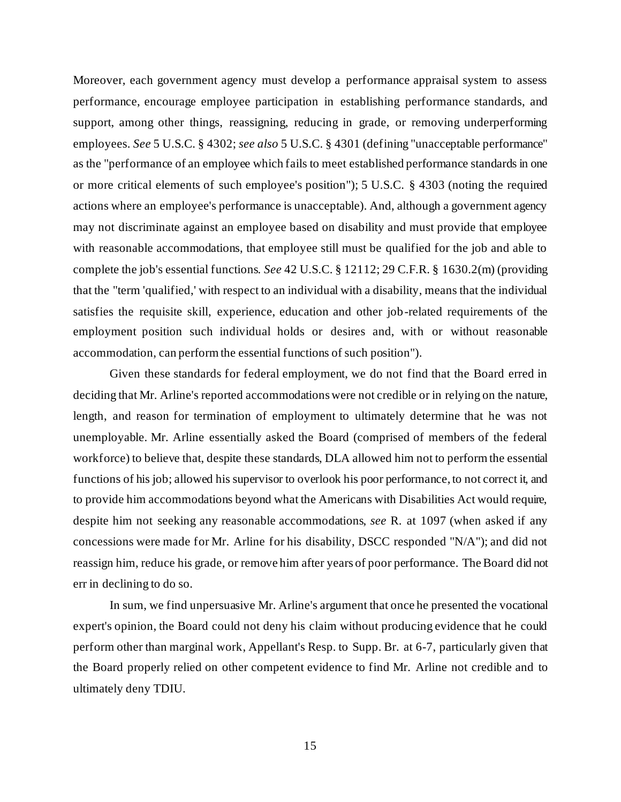Moreover, each government agency must develop a performance appraisal system to assess performance, encourage employee participation in establishing performance standards, and support, among other things, reassigning, reducing in grade, or removing underperforming employees. *See* 5 U.S.C. § 4302; *see also* 5 U.S.C. § 4301 (defining "unacceptable performance" as the "performance of an employee which fails to meet established performance standards in one or more critical elements of such employee's position"); 5 U.S.C. § 4303 (noting the required actions where an employee's performance is unacceptable). And, although a government agency may not discriminate against an employee based on disability and must provide that employee with reasonable accommodations, that employee still must be qualified for the job and able to complete the job's essential functions. *See* 42 U.S.C. § 12112; 29 C.F.R. § 1630.2(m) (providing that the "term 'qualified,' with respect to an individual with a disability, means that the individual satisfies the requisite skill, experience, education and other job-related requirements of the employment position such individual holds or desires and, with or without reasonable accommodation, can perform the essential functions of such position").

Given these standards for federal employment, we do not find that the Board erred in deciding that Mr. Arline's reported accommodations were not credible or in relying on the nature, length, and reason for termination of employment to ultimately determine that he was not unemployable. Mr. Arline essentially asked the Board (comprised of members of the federal workforce) to believe that, despite these standards, DLA allowed him not to perform the essential functions of his job; allowed his supervisor to overlook his poor performance, to not correct it, and to provide him accommodations beyond what the Americans with Disabilities Act would require, despite him not seeking any reasonable accommodations, *see* R. at 1097 (when asked if any concessions were made for Mr. Arline for his disability, DSCC responded "N/A"); and did not reassign him, reduce his grade, or remove him after years of poor performance. The Board did not err in declining to do so.

In sum, we find unpersuasive Mr. Arline's argument that once he presented the vocational expert's opinion, the Board could not deny his claim without producing evidence that he could perform other than marginal work, Appellant's Resp. to Supp. Br. at 6-7, particularly given that the Board properly relied on other competent evidence to find Mr. Arline not credible and to ultimately deny TDIU.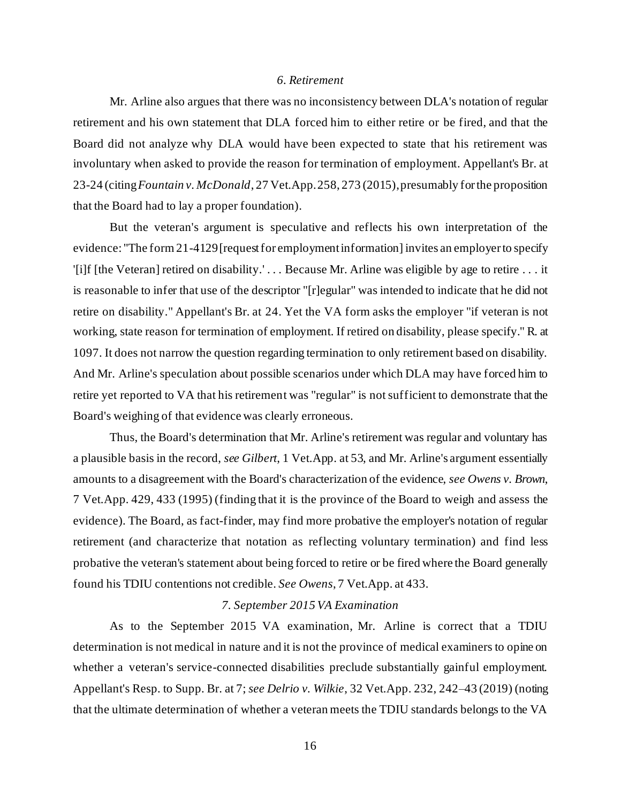# *6. Retirement*

Mr. Arline also argues that there was no inconsistency between DLA's notation of regular retirement and his own statement that DLA forced him to either retire or be fired, and that the Board did not analyze why DLA would have been expected to state that his retirement was involuntary when asked to provide the reason for termination of employment. Appellant's Br. at 23-24 (citing *Fountain v. McDonald*, 27 Vet.App. 258, 273 (2015), presumably for the proposition that the Board had to lay a proper foundation).

But the veteran's argument is speculative and reflects his own interpretation of the evidence: "The form 21-4129 [request for employment information] invites an employer to specify '[i]f [the Veteran] retired on disability.' . . . Because Mr. Arline was eligible by age to retire . . . it is reasonable to infer that use of the descriptor "[r]egular" was intended to indicate that he did not retire on disability." Appellant's Br. at 24. Yet the VA form asks the employer "if veteran is not working, state reason for termination of employment. If retired on disability, please specify." R. at 1097. It does not narrow the question regarding termination to only retirement based on disability. And Mr. Arline's speculation about possible scenarios under which DLA may have forced him to retire yet reported to VA that his retirement was "regular" is not sufficient to demonstrate that the Board's weighing of that evidence was clearly erroneous.

Thus, the Board's determination that Mr. Arline's retirement was regular and voluntary has a plausible basis in the record, *see Gilbert*, 1 Vet.App. at 53, and Mr. Arline's argument essentially amounts to a disagreement with the Board's characterization of the evidence, *see Owens v. Brown*, 7 Vet.App. 429, 433 (1995) (finding that it is the province of the Board to weigh and assess the evidence). The Board, as fact-finder, may find more probative the employer's notation of regular retirement (and characterize that notation as reflecting voluntary termination) and find less probative the veteran's statement about being forced to retire or be fired where the Board generally found his TDIU contentions not credible. *See Owens*, 7 Vet.App. at 433.

### *7. September 2015 VA Examination*

As to the September 2015 VA examination, Mr. Arline is correct that a TDIU determination is not medical in nature and it is not the province of medical examiners to opine on whether a veteran's service-connected disabilities preclude substantially gainful employment. Appellant's Resp. to Supp. Br. at 7; *see Delrio v. Wilkie*, 32 Vet.App. 232, 242–43 (2019) (noting that the ultimate determination of whether a veteran meets the TDIU standards belongs to the VA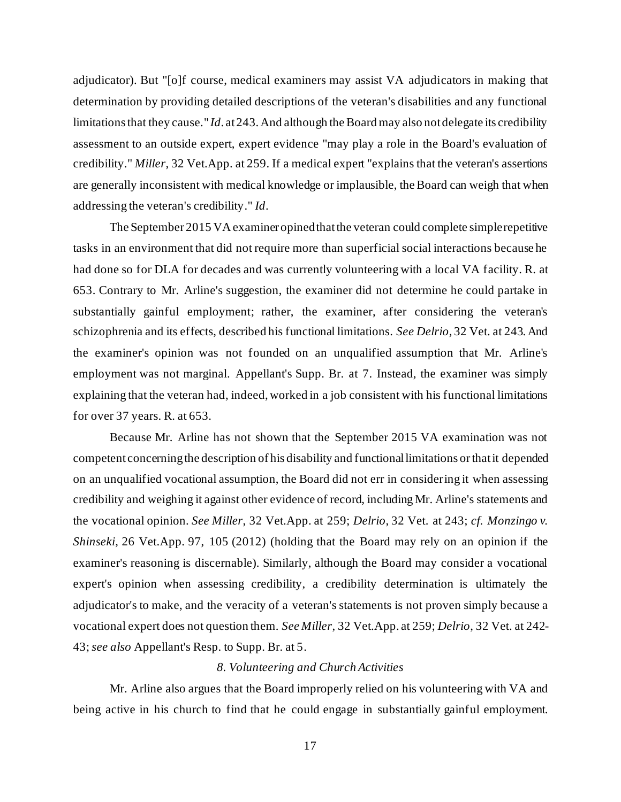adjudicator). But "[o]f course, medical examiners may assist VA adjudicators in making that determination by providing detailed descriptions of the veteran's disabilities and any functional limitations that they cause." *Id*. at 243. And although the Board may also not delegate its credibility assessment to an outside expert, expert evidence "may play a role in the Board's evaluation of credibility." *Miller*, 32 Vet.App. at 259. If a medical expert "explains that the veteran's assertions are generally inconsistent with medical knowledge or implausible, the Board can weigh that when addressing the veteran's credibility." *Id*.

The September 2015 VA examiner opined that the veteran could complete simple repetitive tasks in an environment that did not require more than superficial social interactions because he had done so for DLA for decades and was currently volunteering with a local VA facility. R. at 653. Contrary to Mr. Arline's suggestion, the examiner did not determine he could partake in substantially gainful employment; rather, the examiner, after considering the veteran's schizophrenia and its effects, described his functional limitations. *See Delrio*, 32 Vet. at 243. And the examiner's opinion was not founded on an unqualified assumption that Mr. Arline's employment was not marginal. Appellant's Supp. Br. at 7. Instead, the examiner was simply explaining that the veteran had, indeed, worked in a job consistent with his functional limitations for over 37 years. R. at 653.

Because Mr. Arline has not shown that the September 2015 VA examination was not competent concerningthe description of his disability and functional limitations or that it depended on an unqualified vocational assumption, the Board did not err in considering it when assessing credibility and weighing it against other evidence of record, including Mr. Arline's statements and the vocational opinion. *See Miller*, 32 Vet.App. at 259; *Delrio*, 32 Vet. at 243; *cf*. *Monzingo v. Shinseki*, 26 Vet.App. 97, 105 (2012) (holding that the Board may rely on an opinion if the examiner's reasoning is discernable). Similarly, although the Board may consider a vocational expert's opinion when assessing credibility, a credibility determination is ultimately the adjudicator's to make, and the veracity of a veteran's statements is not proven simply because a vocational expert does not question them. *See Miller*, 32 Vet.App. at 259; *Delrio*, 32 Vet. at 242- 43; *see also* Appellant's Resp. to Supp. Br. at 5.

### *8. Volunteering and Church Activities*

Mr. Arline also argues that the Board improperly relied on his volunteering with VA and being active in his church to find that he could engage in substantially gainful employment.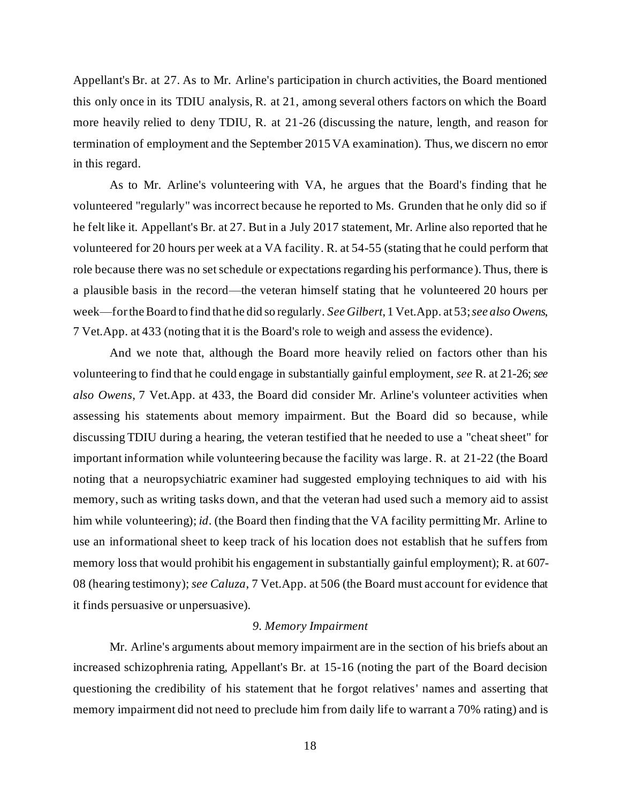Appellant's Br. at 27. As to Mr. Arline's participation in church activities, the Board mentioned this only once in its TDIU analysis, R. at 21, among several others factors on which the Board more heavily relied to deny TDIU, R. at 21-26 (discussing the nature, length, and reason for termination of employment and the September 2015 VA examination). Thus, we discern no error in this regard.

As to Mr. Arline's volunteering with VA, he argues that the Board's finding that he volunteered "regularly" was incorrect because he reported to Ms. Grunden that he only did so if he felt like it. Appellant's Br. at 27. But in a July 2017 statement, Mr. Arline also reported that he volunteered for 20 hours per week at a VA facility. R. at 54-55 (stating that he could perform that role because there was no set schedule or expectations regarding his performance). Thus, there is a plausible basis in the record—the veteran himself stating that he volunteered 20 hours per week—for the Board to find that he did so regularly. *See Gilbert*, 1 Vet.App. at53; *see also Owens*, 7 Vet.App. at 433 (noting that it is the Board's role to weigh and assess the evidence).

And we note that, although the Board more heavily relied on factors other than his volunteering to find that he could engage in substantially gainful employment, *see* R. at 21-26; *see also Owens*, 7 Vet.App. at 433, the Board did consider Mr. Arline's volunteer activities when assessing his statements about memory impairment. But the Board did so because, while discussing TDIU during a hearing, the veteran testified that he needed to use a "cheat sheet" for important information while volunteering because the facility was large. R. at 21-22 (the Board noting that a neuropsychiatric examiner had suggested employing techniques to aid with his memory, such as writing tasks down, and that the veteran had used such a memory aid to assist him while volunteering); *id*. (the Board then finding that the VA facility permitting Mr. Arline to use an informational sheet to keep track of his location does not establish that he suffers from memory loss that would prohibit his engagement in substantially gainful employment); R. at 607- 08 (hearing testimony); *see Caluza*, 7 Vet.App. at 506 (the Board must account for evidence that it finds persuasive or unpersuasive).

## *9. Memory Impairment*

Mr. Arline's arguments about memory impairment are in the section of his briefs about an increased schizophrenia rating, Appellant's Br. at 15-16 (noting the part of the Board decision questioning the credibility of his statement that he forgot relatives' names and asserting that memory impairment did not need to preclude him from daily life to warrant a 70% rating) and is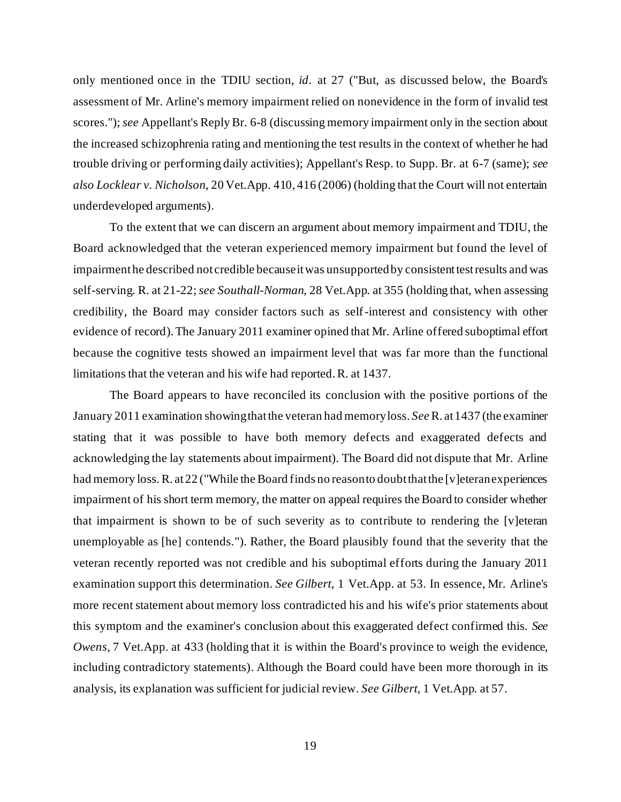only mentioned once in the TDIU section, *id*. at 27 ("But, as discussed below, the Board's assessment of Mr. Arline's memory impairment relied on nonevidence in the form of invalid test scores.");*see* Appellant's Reply Br. 6-8 (discussing memory impairment only in the section about the increased schizophrenia rating and mentioning the test results in the context of whether he had trouble driving or performing daily activities); Appellant's Resp. to Supp. Br. at 6-7 (same); *see also Locklear v. Nicholson*, 20 Vet.App. 410, 416 (2006) (holding that the Court will not entertain underdeveloped arguments).

To the extent that we can discern an argument about memory impairment and TDIU, the Board acknowledged that the veteran experienced memory impairment but found the level of impairment he described not credible because it was unsupportedby consistent test results and was self-serving. R. at 21-22; *see Southall-Norman*, 28 Vet.App. at 355 (holding that, when assessing credibility, the Board may consider factors such as self-interest and consistency with other evidence of record). The January 2011 examiner opined that Mr. Arline offered suboptimal effort because the cognitive tests showed an impairment level that was far more than the functional limitations that the veteran and his wife had reported. R. at 1437.

The Board appears to have reconciled its conclusion with the positive portions of the January 2011 examination showingthat the veteran had memory loss. *See*R. at 1437 (the examiner stating that it was possible to have both memory defects and exaggerated defects and acknowledging the lay statements about impairment). The Board did not dispute that Mr. Arline had memory loss. R. at 22 ("While the Board finds no reason to doubt that the [v] eteran experiences impairment of his short term memory, the matter on appeal requires the Board to consider whether that impairment is shown to be of such severity as to contribute to rendering the [v]eteran unemployable as [he] contends."). Rather, the Board plausibly found that the severity that the veteran recently reported was not credible and his suboptimal efforts during the January 2011 examination support this determination. *See Gilbert*, 1 Vet.App. at 53. In essence, Mr. Arline's more recent statement about memory loss contradicted his and his wife's prior statements about this symptom and the examiner's conclusion about this exaggerated defect confirmed this. *See Owens*, 7 Vet.App. at 433 (holding that it is within the Board's province to weigh the evidence, including contradictory statements). Although the Board could have been more thorough in its analysis, its explanation was sufficient for judicial review. *See Gilbert*, 1 Vet.App. at 57.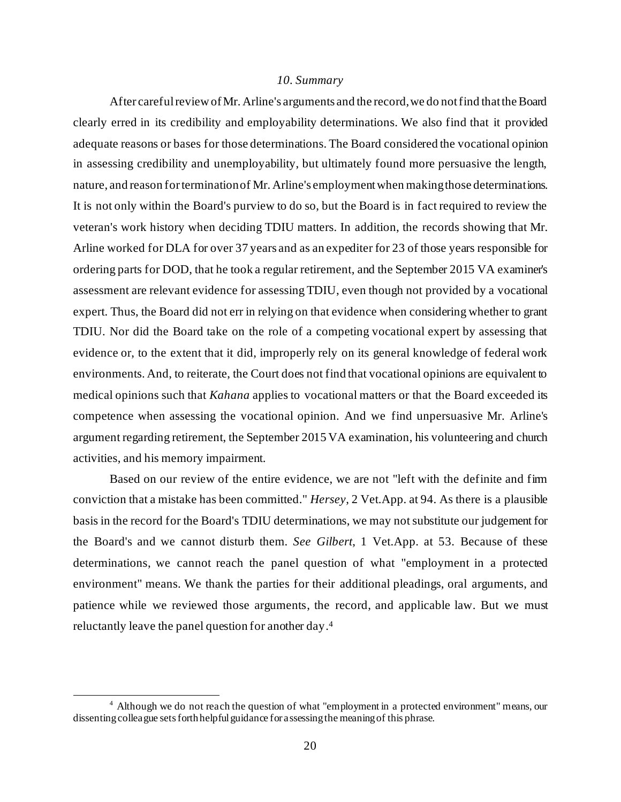#### *10. Summary*

After careful review of Mr. Arline's arguments and the record, we do not find that the Board clearly erred in its credibility and employability determinations. We also find that it provided adequate reasons or bases for those determinations. The Board considered the vocational opinion in assessing credibility and unemployability, but ultimately found more persuasive the length, nature, and reason for termination of Mr. Arline's employment when making those determinations. It is not only within the Board's purview to do so, but the Board is in fact required to review the veteran's work history when deciding TDIU matters. In addition, the records showing that Mr. Arline worked for DLA for over 37 years and as an expediter for 23 of those years responsible for ordering parts for DOD, that he took a regular retirement, and the September 2015 VA examiner's assessment are relevant evidence for assessing TDIU, even though not provided by a vocational expert. Thus, the Board did not err in relying on that evidence when considering whether to grant TDIU. Nor did the Board take on the role of a competing vocational expert by assessing that evidence or, to the extent that it did, improperly rely on its general knowledge of federal work environments. And, to reiterate, the Court does not find that vocational opinions are equivalent to medical opinions such that *Kahana* applies to vocational matters or that the Board exceeded its competence when assessing the vocational opinion. And we find unpersuasive Mr. Arline's argument regarding retirement, the September 2015 VA examination, his volunteering and church activities, and his memory impairment.

Based on our review of the entire evidence, we are not "left with the definite and firm conviction that a mistake has been committed." *Hersey*, 2 Vet.App. at 94. As there is a plausible basis in the record for the Board's TDIU determinations, we may not substitute our judgement for the Board's and we cannot disturb them. *See Gilbert*, 1 Vet.App. at 53. Because of these determinations, we cannot reach the panel question of what "employment in a protected environment" means. We thank the parties for their additional pleadings, oral arguments, and patience while we reviewed those arguments, the record, and applicable law. But we must reluctantly leave the panel question for another day. 4

<sup>&</sup>lt;sup>4</sup> Although we do not reach the question of what "employment in a protected environment" means, our dissenting colleague sets forth helpful guidance for assessing the meaning of this phrase.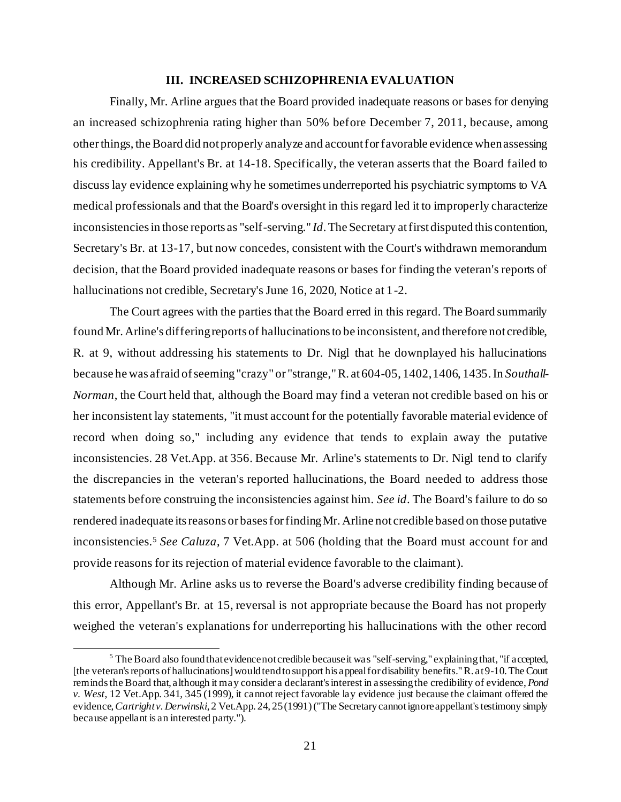### **III. INCREASED SCHIZOPHRENIA EVALUATION**

Finally, Mr. Arline argues that the Board provided inadequate reasons or bases for denying an increased schizophrenia rating higher than 50% before December 7, 2011, because, among other things, the Board did not properly analyze and account for favorable evidence when assessing his credibility. Appellant's Br. at 14-18. Specifically, the veteran asserts that the Board failed to discuss lay evidence explaining why he sometimes underreported his psychiatric symptoms to VA medical professionals and that the Board's oversight in this regard led it to improperly characterize inconsistencies in those reports as "self-serving." *Id*. The Secretary at first disputed this contention, Secretary's Br. at 13-17, but now concedes, consistent with the Court's withdrawn memorandum decision, that the Board provided inadequate reasons or bases for finding the veteran's reports of hallucinations not credible, Secretary's June 16, 2020, Notice at 1-2.

The Court agrees with the parties that the Board erred in this regard. The Board summarily found Mr. Arline's differing reports of hallucinations to be inconsistent, and therefore not credible, R. at 9, without addressing his statements to Dr. Nigl that he downplayed his hallucinations because he was afraid of seeming "crazy"or "strange,"R. at 604-05, 1402, 1406, 1435. In *Southall-Norman*, the Court held that, although the Board may find a veteran not credible based on his or her inconsistent lay statements, "it must account for the potentially favorable material evidence of record when doing so," including any evidence that tends to explain away the putative inconsistencies. 28 Vet.App. at 356. Because Mr. Arline's statements to Dr. Nigl tend to clarify the discrepancies in the veteran's reported hallucinations, the Board needed to address those statements before construing the inconsistencies against him. *See id*. The Board's failure to do so rendered inadequate its reasons or bases for finding Mr. Arline not credible based on those putative inconsistencies.<sup>5</sup> *See Caluza*, 7 Vet.App. at 506 (holding that the Board must account for and provide reasons for its rejection of material evidence favorable to the claimant).

Although Mr. Arline asks us to reverse the Board's adverse credibility finding because of this error, Appellant's Br. at 15, reversal is not appropriate because the Board has not properly weighed the veteran's explanations for underreporting his hallucinations with the other record

 $<sup>5</sup>$  The Board also found that evidence not credible because it was "self-serving," explaining that, "if accepted,</sup> [the veteran's reports of hallucinations] would tend to support his appeal for disability benefits." R. at 9-10. The Court reminds the Board that, although it may consider a declarant's interest in assessing the credibility of evidence, *Pond v. West*, 12 Vet.App. 341, 345 (1999), it cannot reject favorable lay evidence just because the claimant offered the evidence, *Cartright v. Derwinski*, 2 Vet.App. 24, 25 (1991) ("The Secretary cannot ignore appellant's testimony simply because appellant is an interested party.").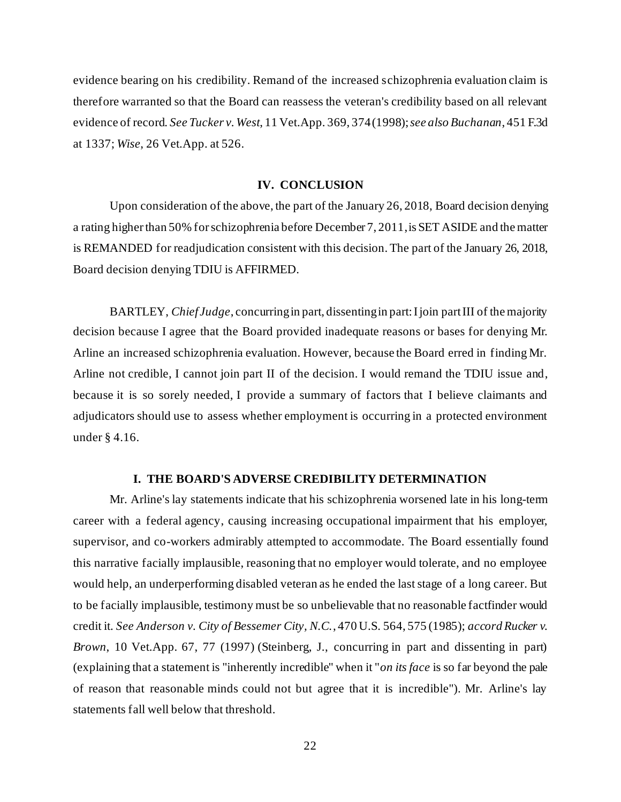evidence bearing on his credibility. Remand of the increased schizophrenia evaluation claim is therefore warranted so that the Board can reassess the veteran's credibility based on all relevant evidence of record. *See Tucker v. West*, 11 Vet.App. 369, 374(1998); *see also Buchanan*, 451 F.3d at 1337; *Wise*, 26 Vet.App. at 526.

#### **IV. CONCLUSION**

Upon consideration of the above, the part of the January 26, 2018, Board decision denying a rating higher than 50% for schizophrenia before December 7, 2011,is SET ASIDE and the matter is REMANDED for readjudication consistent with this decision. The part of the January 26, 2018, Board decision denying TDIU is AFFIRMED.

BARTLEY, *Chief Judge*, concurring in part, dissenting in part: I join part III of the majority decision because I agree that the Board provided inadequate reasons or bases for denying Mr. Arline an increased schizophrenia evaluation. However, because the Board erred in finding Mr. Arline not credible, I cannot join part II of the decision. I would remand the TDIU issue and, because it is so sorely needed, I provide a summary of factors that I believe claimants and adjudicators should use to assess whether employment is occurring in a protected environment under § 4.16.

# **I. THE BOARD'S ADVERSE CREDIBILITY DETERMINATION**

Mr. Arline's lay statements indicate that his schizophrenia worsened late in his long-term career with a federal agency, causing increasing occupational impairment that his employer, supervisor, and co-workers admirably attempted to accommodate. The Board essentially found this narrative facially implausible, reasoning that no employer would tolerate, and no employee would help, an underperforming disabled veteran as he ended the last stage of a long career. But to be facially implausible, testimony must be so unbelievable that no reasonable factfinder would credit it. *See Anderson v. City of Bessemer City, N.C.*, 470 U.S. 564, 575 (1985); *accord Rucker v. Brown*, 10 Vet.App. 67, 77 (1997) (Steinberg, J., concurring in part and dissenting in part) (explaining that a statement is "inherently incredible" when it "*on its face* is so far beyond the pale of reason that reasonable minds could not but agree that it is incredible"). Mr. Arline's lay statements fall well below that threshold.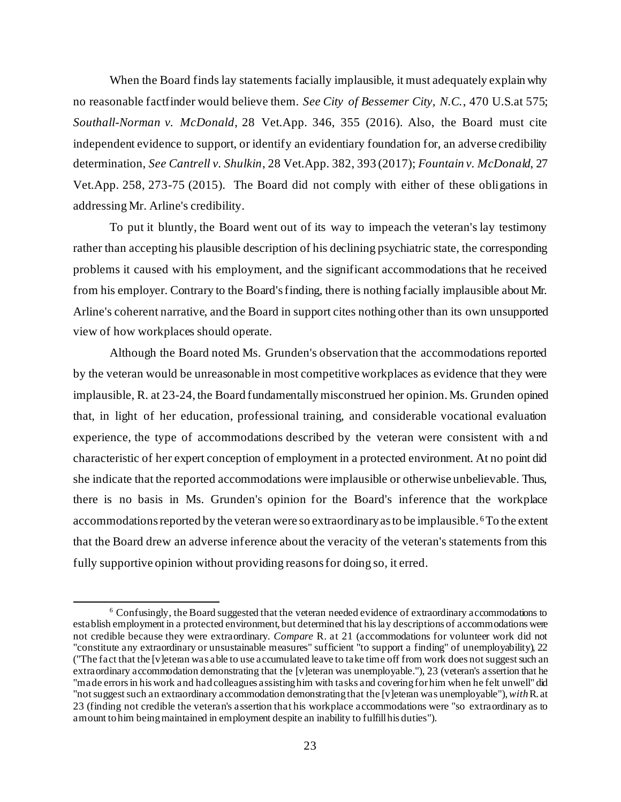When the Board finds lay statements facially implausible, it must adequately explain why no reasonable factfinder would believe them. *See City of Bessemer City, N.C.*, 470 U.S.at 575; *Southall-Norman v. McDonald*, 28 Vet.App. 346, 355 (2016). Also, the Board must cite independent evidence to support, or identify an evidentiary foundation for, an adverse credibility determination, *See Cantrell v. Shulkin*, 28 Vet.App. 382, 393 (2017); *Fountain v. McDonald*, 27 Vet.App. 258, 273-75 (2015). The Board did not comply with either of these obligations in addressing Mr. Arline's credibility.

To put it bluntly, the Board went out of its way to impeach the veteran's lay testimony rather than accepting his plausible description of his declining psychiatric state, the corresponding problems it caused with his employment, and the significant accommodations that he received from his employer. Contrary to the Board's finding, there is nothing facially implausible about Mr. Arline's coherent narrative, and the Board in support cites nothing other than its own unsupported view of how workplaces should operate.

Although the Board noted Ms. Grunden's observation that the accommodations reported by the veteran would be unreasonable in most competitive workplaces as evidence that they were implausible, R. at 23-24, the Board fundamentally misconstrued her opinion. Ms. Grunden opined that, in light of her education, professional training, and considerable vocational evaluation experience, the type of accommodations described by the veteran were consistent with a nd characteristic of her expert conception of employment in a protected environment. At no point did she indicate that the reported accommodations were implausible or otherwise unbelievable. Thus, there is no basis in Ms. Grunden's opinion for the Board's inference that the workplace accommodations reported by the veteran were so extraordinary as to be implausible. <sup>6</sup>To the extent that the Board drew an adverse inference about the veracity of the veteran's statements from this fully supportive opinion without providing reasons for doing so, it erred.

<sup>6</sup> Confusingly, the Board suggested that the veteran needed evidence of extraordinary accommodations to establish employment in a protected environment, but determined that his lay descriptions of accommodations were not credible because they were extraordinary. *Compare* R. at 21 (accommodations for volunteer work did not "constitute any extraordinary or unsustainable measures" sufficient "to support a finding" of unemployability), 22 ("The fact that the [v]eteran was able to use accumulated leave to take time off from work does notsuggest such an extraordinary accommodation demonstrating that the [v]eteran was unemployable."), 23 (veteran's assertion that he "made errors in his work and had colleagues assisting him with tasks and covering for him when he felt unwell" did "not suggest such an extraordinary accommodation demonstrating that the [v]eteran was unemployable"), *with* R. at 23 (finding not credible the veteran's assertion that his workplace accommodations were "so extraordinary as to amount to him being maintained in employment despite an inability to fulfill his duties").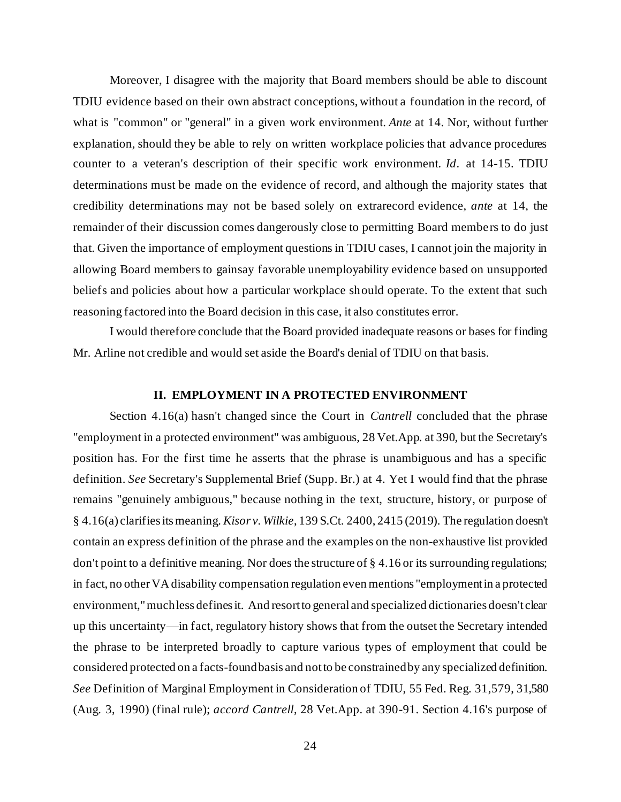Moreover, I disagree with the majority that Board members should be able to discount TDIU evidence based on their own abstract conceptions, without a foundation in the record, of what is "common" or "general" in a given work environment. *Ante* at 14. Nor, without further explanation, should they be able to rely on written workplace policies that advance procedures counter to a veteran's description of their specific work environment. *Id*. at 14-15. TDIU determinations must be made on the evidence of record, and although the majority states that credibility determinations may not be based solely on extrarecord evidence, *ante* at 14, the remainder of their discussion comes dangerously close to permitting Board members to do just that. Given the importance of employment questions in TDIU cases, I cannot join the majority in allowing Board members to gainsay favorable unemployability evidence based on unsupported beliefs and policies about how a particular workplace should operate. To the extent that such reasoning factored into the Board decision in this case, it also constitutes error.

I would therefore conclude that the Board provided inadequate reasons or bases for finding Mr. Arline not credible and would set aside the Board's denial of TDIU on that basis.

### **II. EMPLOYMENT IN A PROTECTED ENVIRONMENT**

Section 4.16(a) hasn't changed since the Court in *Cantrell* concluded that the phrase "employment in a protected environment" was ambiguous, 28 Vet.App. at 390, but the Secretary's position has. For the first time he asserts that the phrase is unambiguous and has a specific definition. *See* Secretary's Supplemental Brief (Supp. Br.) at 4. Yet I would find that the phrase remains "genuinely ambiguous," because nothing in the text, structure, history, or purpose of § 4.16(a) clarifies its meaning. *Kisor v. Wilkie*, 139 S.Ct. 2400, 2415 (2019). The regulation doesn't contain an express definition of the phrase and the examples on the non-exhaustive list provided don't point to a definitive meaning. Nor does the structure of § 4.16 or its surrounding regulations; in fact, no other VA disability compensation regulation even mentions "employment in a protected environment," much less defines it. And resort to general and specialized dictionaries doesn't clear up this uncertainty—in fact, regulatory history shows that from the outset the Secretary intended the phrase to be interpreted broadly to capture various types of employment that could be considered protected on a facts-found basis and not to be constrained by any specialized definition. *See* Definition of Marginal Employment in Consideration of TDIU, 55 Fed. Reg. 31,579, 31,580 (Aug. 3, 1990) (final rule); *accord Cantrell*, 28 Vet.App. at 390-91. Section 4.16's purpose of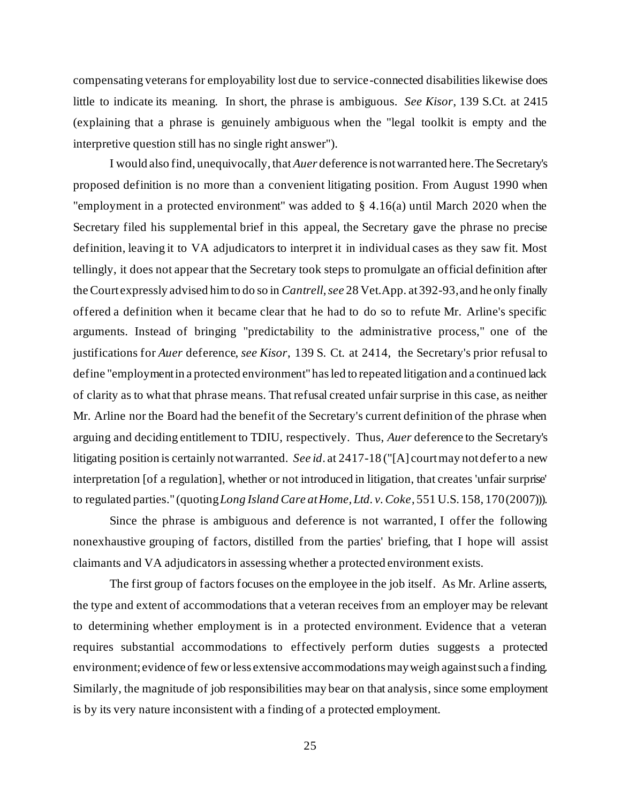compensating veterans for employability lost due to service-connected disabilities likewise does little to indicate its meaning. In short, the phrase is ambiguous. *See Kisor*, 139 S.Ct. at 2415 (explaining that a phrase is genuinely ambiguous when the "legal toolkit is empty and the interpretive question still has no single right answer").

I would also find, unequivocally, that *Auer* deference is not warranted here. The Secretary's proposed definition is no more than a convenient litigating position. From August 1990 when "employment in a protected environment" was added to § 4.16(a) until March 2020 when the Secretary filed his supplemental brief in this appeal, the Secretary gave the phrase no precise definition, leaving it to VA adjudicators to interpret it in individual cases as they saw fit. Most tellingly, it does not appear that the Secretary took steps to promulgate an official definition after the Court expressly advised him to do so in *Cantrell*, *see* 28 Vet.App. at 392-93, and he only finally offered a definition when it became clear that he had to do so to refute Mr. Arline's specific arguments. Instead of bringing "predictability to the administrative process," one of the justifications for *Auer* deference, *see Kisor*, 139 S. Ct. at 2414, the Secretary's prior refusal to define "employment in a protected environment" has led to repeated litigation and a continued lack of clarity as to what that phrase means. That refusal created unfair surprise in this case, as neither Mr. Arline nor the Board had the benefit of the Secretary's current definition of the phrase when arguing and deciding entitlement to TDIU, respectively. Thus, *Auer* deference to the Secretary's litigating position is certainly not warranted. *See id*. at 2417-18 ("[A] court may not defer to a new interpretation [of a regulation], whether or not introduced in litigation, that creates 'unfair surprise' to regulated parties." (quoting *Long Island Care at Home, Ltd. v. Coke*, 551 U.S. 158, 170 (2007))).

Since the phrase is ambiguous and deference is not warranted, I offer the following nonexhaustive grouping of factors, distilled from the parties' briefing, that I hope will assist claimants and VA adjudicators in assessing whether a protected environment exists.

The first group of factors focuses on the employee in the job itself. As Mr. Arline asserts, the type and extent of accommodations that a veteran receives from an employer may be relevant to determining whether employment is in a protected environment. Evidence that a veteran requires substantial accommodations to effectively perform duties suggests a protected environment; evidence of few or less extensive accommodations may weigh against such a finding. Similarly, the magnitude of job responsibilities may bear on that analysis, since some employment is by its very nature inconsistent with a finding of a protected employment.